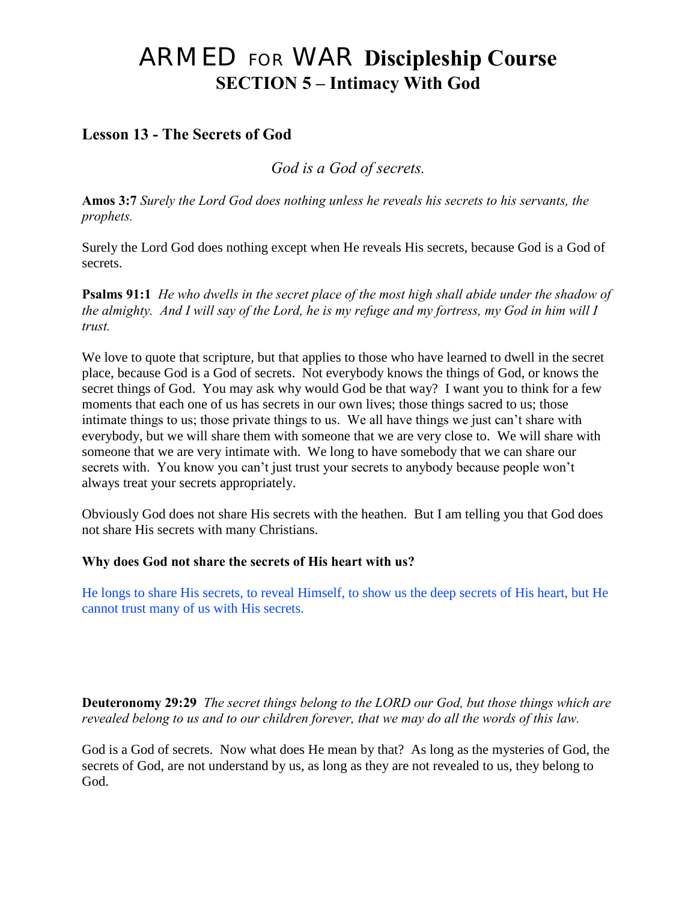# ARMED FOR WAR **Discipleship Course SECTION 5 – Intimacy With God**

# **Lesson 13 - The Secrets of God**

*God is a God of secrets.*

**Amos 3:7** *Surely the Lord God does nothing unless he reveals his secrets to his servants, the prophets.* 

Surely the Lord God does nothing except when He reveals His secrets, because God is a God of secrets.

**Psalms 91:1** *He who dwells in the secret place of the most high shall abide under the shadow of the almighty. And I will say of the Lord, he is my refuge and my fortress, my God in him will I trust.* 

We love to quote that scripture, but that applies to those who have learned to dwell in the secret place, because God is a God of secrets. Not everybody knows the things of God, or knows the secret things of God. You may ask why would God be that way? I want you to think for a few moments that each one of us has secrets in our own lives; those things sacred to us; those intimate things to us; those private things to us. We all have things we just can't share with everybody, but we will share them with someone that we are very close to. We will share with someone that we are very intimate with. We long to have somebody that we can share our secrets with. You know you can't just trust your secrets to anybody because people won't always treat your secrets appropriately.

Obviously God does not share His secrets with the heathen. But I am telling you that God does not share His secrets with many Christians.

## **Why does God not share the secrets of His heart with us?**

He longs to share His secrets, to reveal Himself, to show us the deep secrets of His heart, but He cannot trust many of us with His secrets.

**Deuteronomy 29:29** *The secret things belong to the LORD our God, but those things which are revealed belong to us and to our children forever, that we may do all the words of this law.*

God is a God of secrets. Now what does He mean by that? As long as the mysteries of God, the secrets of God, are not understand by us, as long as they are not revealed to us, they belong to God.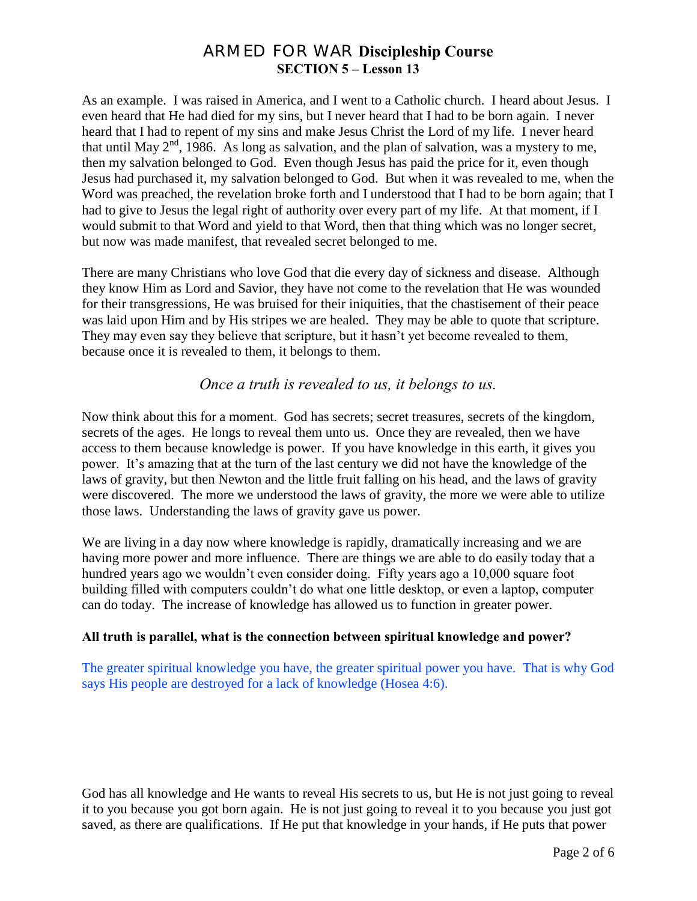As an example. I was raised in America, and I went to a Catholic church. I heard about Jesus. I even heard that He had died for my sins, but I never heard that I had to be born again. I never heard that I had to repent of my sins and make Jesus Christ the Lord of my life. I never heard that until May  $2<sup>nd</sup>$ , 1986. As long as salvation, and the plan of salvation, was a mystery to me, then my salvation belonged to God. Even though Jesus has paid the price for it, even though Jesus had purchased it, my salvation belonged to God. But when it was revealed to me, when the Word was preached, the revelation broke forth and I understood that I had to be born again; that I had to give to Jesus the legal right of authority over every part of my life. At that moment, if I would submit to that Word and yield to that Word, then that thing which was no longer secret, but now was made manifest, that revealed secret belonged to me.

There are many Christians who love God that die every day of sickness and disease. Although they know Him as Lord and Savior, they have not come to the revelation that He was wounded for their transgressions, He was bruised for their iniquities, that the chastisement of their peace was laid upon Him and by His stripes we are healed. They may be able to quote that scripture. They may even say they believe that scripture, but it hasn't yet become revealed to them, because once it is revealed to them, it belongs to them.

## *Once a truth is revealed to us, it belongs to us.*

Now think about this for a moment. God has secrets; secret treasures, secrets of the kingdom, secrets of the ages. He longs to reveal them unto us. Once they are revealed, then we have access to them because knowledge is power. If you have knowledge in this earth, it gives you power. It's amazing that at the turn of the last century we did not have the knowledge of the laws of gravity, but then Newton and the little fruit falling on his head, and the laws of gravity were discovered. The more we understood the laws of gravity, the more we were able to utilize those laws. Understanding the laws of gravity gave us power.

We are living in a day now where knowledge is rapidly, dramatically increasing and we are having more power and more influence. There are things we are able to do easily today that a hundred years ago we wouldn't even consider doing. Fifty years ago a 10,000 square foot building filled with computers couldn't do what one little desktop, or even a laptop, computer can do today. The increase of knowledge has allowed us to function in greater power.

#### **All truth is parallel, what is the connection between spiritual knowledge and power?**

The greater spiritual knowledge you have, the greater spiritual power you have. That is why God says His people are destroyed for a lack of knowledge (Hosea 4:6).

God has all knowledge and He wants to reveal His secrets to us, but He is not just going to reveal it to you because you got born again. He is not just going to reveal it to you because you just got saved, as there are qualifications. If He put that knowledge in your hands, if He puts that power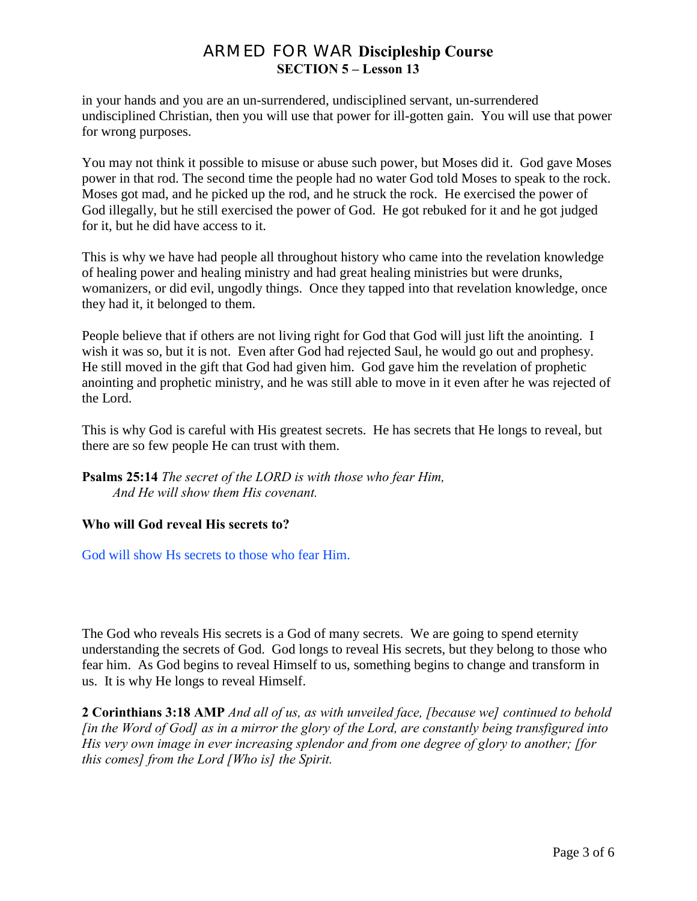in your hands and you are an un-surrendered, undisciplined servant, un-surrendered undisciplined Christian, then you will use that power for ill-gotten gain. You will use that power for wrong purposes.

You may not think it possible to misuse or abuse such power, but Moses did it. God gave Moses power in that rod. The second time the people had no water God told Moses to speak to the rock. Moses got mad, and he picked up the rod, and he struck the rock. He exercised the power of God illegally, but he still exercised the power of God. He got rebuked for it and he got judged for it, but he did have access to it.

This is why we have had people all throughout history who came into the revelation knowledge of healing power and healing ministry and had great healing ministries but were drunks, womanizers, or did evil, ungodly things. Once they tapped into that revelation knowledge, once they had it, it belonged to them.

People believe that if others are not living right for God that God will just lift the anointing. I wish it was so, but it is not. Even after God had rejected Saul, he would go out and prophesy. He still moved in the gift that God had given him. God gave him the revelation of prophetic anointing and prophetic ministry, and he was still able to move in it even after he was rejected of the Lord.

This is why God is careful with His greatest secrets. He has secrets that He longs to reveal, but there are so few people He can trust with them.

**Psalms 25:14** *The secret of the LORD is with those who fear Him, And He will show them His covenant.*

#### **Who will God reveal His secrets to?**

God will show Hs secrets to those who fear Him.

The God who reveals His secrets is a God of many secrets. We are going to spend eternity understanding the secrets of God. God longs to reveal His secrets, but they belong to those who fear him. As God begins to reveal Himself to us, something begins to change and transform in us. It is why He longs to reveal Himself.

**2 Corinthians 3:18 AMP** *And all of us, as with unveiled face, [because we] continued to behold [in the Word of God] as in a mirror the glory of the Lord, are constantly being transfigured into His very own image in ever increasing splendor and from one degree of glory to another; [for this comes] from the Lord [Who is] the Spirit.*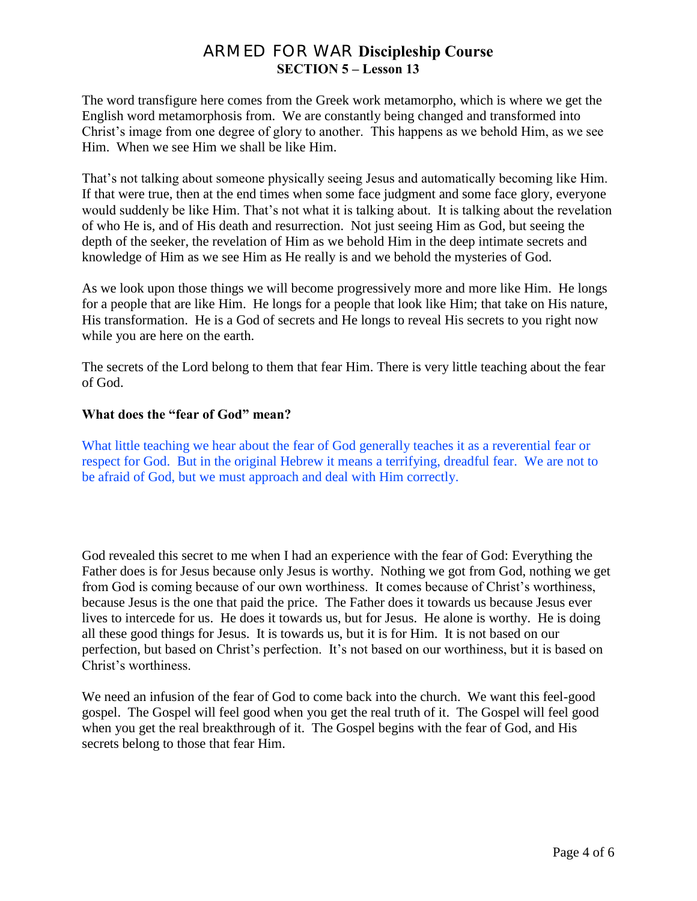The word transfigure here comes from the Greek work metamorpho, which is where we get the English word metamorphosis from. We are constantly being changed and transformed into Christ's image from one degree of glory to another. This happens as we behold Him, as we see Him. When we see Him we shall be like Him.

That's not talking about someone physically seeing Jesus and automatically becoming like Him. If that were true, then at the end times when some face judgment and some face glory, everyone would suddenly be like Him. That's not what it is talking about. It is talking about the revelation of who He is, and of His death and resurrection. Not just seeing Him as God, but seeing the depth of the seeker, the revelation of Him as we behold Him in the deep intimate secrets and knowledge of Him as we see Him as He really is and we behold the mysteries of God.

As we look upon those things we will become progressively more and more like Him. He longs for a people that are like Him. He longs for a people that look like Him; that take on His nature, His transformation. He is a God of secrets and He longs to reveal His secrets to you right now while you are here on the earth.

The secrets of the Lord belong to them that fear Him. There is very little teaching about the fear of God.

#### **What does the "fear of God" mean?**

What little teaching we hear about the fear of God generally teaches it as a reverential fear or respect for God. But in the original Hebrew it means a terrifying, dreadful fear. We are not to be afraid of God, but we must approach and deal with Him correctly.

God revealed this secret to me when I had an experience with the fear of God: Everything the Father does is for Jesus because only Jesus is worthy. Nothing we got from God, nothing we get from God is coming because of our own worthiness. It comes because of Christ's worthiness, because Jesus is the one that paid the price. The Father does it towards us because Jesus ever lives to intercede for us. He does it towards us, but for Jesus. He alone is worthy. He is doing all these good things for Jesus. It is towards us, but it is for Him. It is not based on our perfection, but based on Christ's perfection. It's not based on our worthiness, but it is based on Christ's worthiness.

We need an infusion of the fear of God to come back into the church. We want this feel-good gospel. The Gospel will feel good when you get the real truth of it. The Gospel will feel good when you get the real breakthrough of it. The Gospel begins with the fear of God, and His secrets belong to those that fear Him.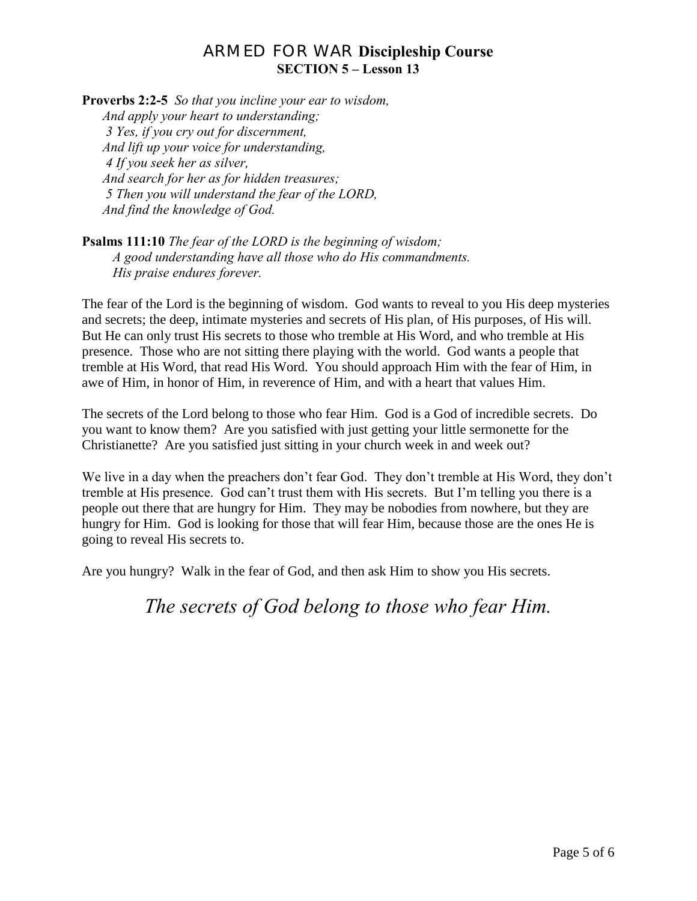**Proverbs 2:2-5** *So that you incline your ear to wisdom, And apply your heart to understanding; 3 Yes, if you cry out for discernment, And lift up your voice for understanding, 4 If you seek her as silver, And search for her as for hidden treasures; 5 Then you will understand the fear of the LORD, And find the knowledge of God.*

**Psalms 111:10** *The fear of the LORD is the beginning of wisdom; A good understanding have all those who do His commandments. His praise endures forever.* 

The fear of the Lord is the beginning of wisdom. God wants to reveal to you His deep mysteries and secrets; the deep, intimate mysteries and secrets of His plan, of His purposes, of His will. But He can only trust His secrets to those who tremble at His Word, and who tremble at His presence. Those who are not sitting there playing with the world. God wants a people that tremble at His Word, that read His Word. You should approach Him with the fear of Him, in awe of Him, in honor of Him, in reverence of Him, and with a heart that values Him.

The secrets of the Lord belong to those who fear Him. God is a God of incredible secrets. Do you want to know them? Are you satisfied with just getting your little sermonette for the Christianette? Are you satisfied just sitting in your church week in and week out?

We live in a day when the preachers don't fear God. They don't tremble at His Word, they don't tremble at His presence. God can't trust them with His secrets. But I'm telling you there is a people out there that are hungry for Him. They may be nobodies from nowhere, but they are hungry for Him. God is looking for those that will fear Him, because those are the ones He is going to reveal His secrets to.

Are you hungry? Walk in the fear of God, and then ask Him to show you His secrets.

*The secrets of God belong to those who fear Him.*